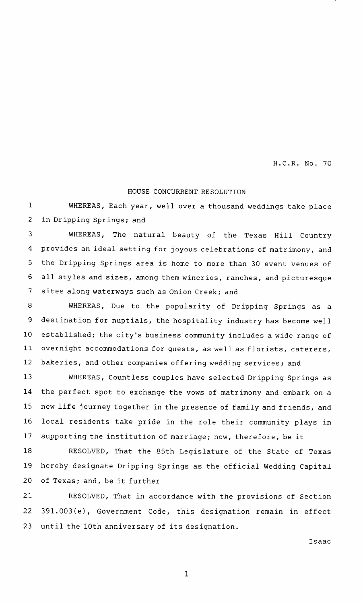H.C.R. No. 70

## HOUSE CONCURRENT RESOLUTION

WHEREAS, Each year, well over <sup>a</sup> thousand weddings take place in Dripping Springs; and 1 2

WHEREAS, The natural beauty of the Texas Hill Country provides an ideal setting for joyous celebrations of matrimony, and the Dripping Springs area is home to more than 30 event venues of all styles and sizes, among them wineries, ranches, and picturesque sites along waterways such as Onion Creek; and 3 4 5 6 7

WHEREAS, Due to the popularity of Dripping Springs as <sup>a</sup> destination for nuptials, the hospitality industry has become well established; the city's business community includes a wide range of overnight accommodations for guests, as well as florists, caterers, bakeries, and other companies offering wedding services; and 8 9 10 11 12

WHEREAS, Countless couples have selected Dripping Springs as the perfect spot to exchange the vows of matrimony and embark on <sup>a</sup> new life journey together in the presence of family and friends , and local residents take pride in the role their community plays in supporting the institution of marriage; now, therefore, be it 13 14 15 16 17

RESOLVED, That the 85th Legislature of the State of Texas hereby designate Dripping Springs as the official Wedding Capital of Texas; and, be it further 18 19 20

RESOLVED, That in accordance with the provisions of Section 391.003(e), Government Code, this designation remain in effect until the 10th anniversary of its designation. 21 22 23

Isaac

1